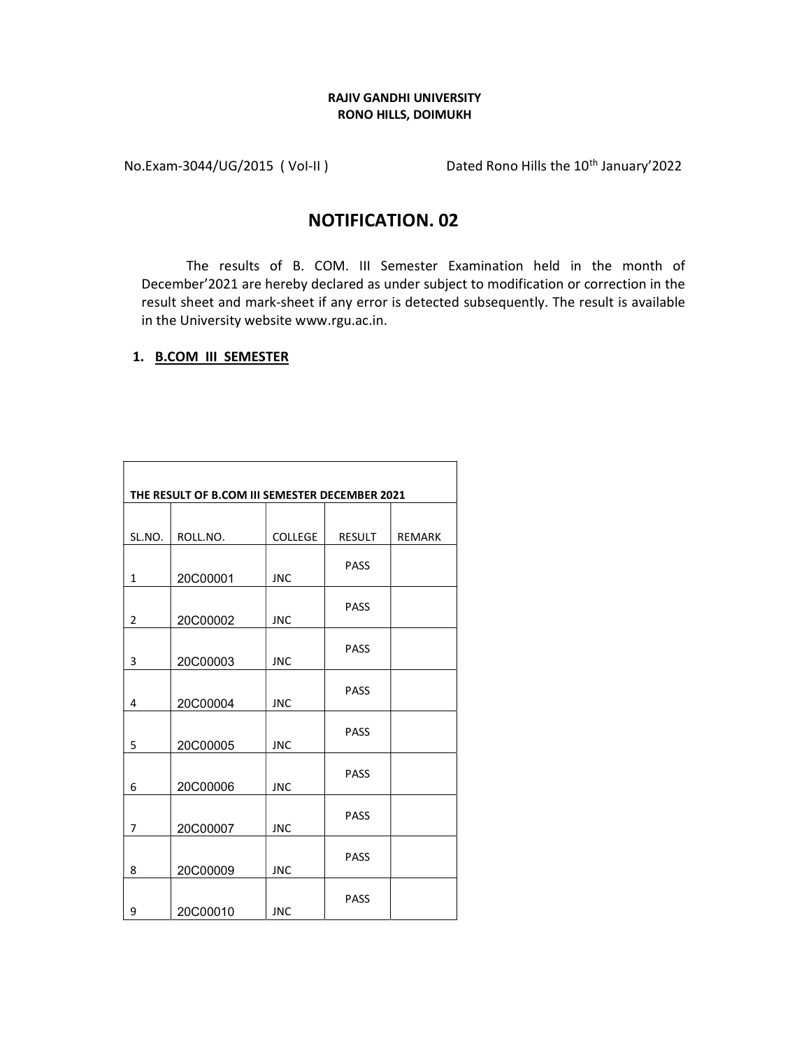# RAJIV GANDHI UNIVERSITY RONO HILLS, DOIMUKH

No.Exam-3044/UG/2015 (Vol-II) Dated Rono Hills the 10<sup>th</sup> January'2022

# NOTIFICATION. 02

The results of B. COM. III Semester Examination held in the month of December'2021 are hereby declared as under subject to modification or correction in the result sheet and mark-sheet if any error is detected subsequently. The result is available in the University website www.rgu.ac.in.

 $\overline{\phantom{0}}$ 

### 1. B.COM III SEMESTER

 $\blacksquare$ 

|                | THE RESULT OF B.COM III SEMESTER DECEMBER 2021 |                |               |               |
|----------------|------------------------------------------------|----------------|---------------|---------------|
|                |                                                |                |               |               |
| SL.NO.         | ROLL.NO.                                       | <b>COLLEGE</b> | <b>RESULT</b> | <b>REMARK</b> |
| $\mathbf{1}$   | 20C00001                                       | <b>JNC</b>     | <b>PASS</b>   |               |
| $\overline{2}$ | 20C00002                                       | <b>JNC</b>     | <b>PASS</b>   |               |
| 3              | 20C00003                                       | <b>JNC</b>     | <b>PASS</b>   |               |
| 4              | 20C00004                                       | <b>JNC</b>     | <b>PASS</b>   |               |
| 5              | 20C00005                                       | <b>JNC</b>     | <b>PASS</b>   |               |
| 6              | 20C00006                                       | <b>JNC</b>     | <b>PASS</b>   |               |
| $\overline{7}$ | 20C00007                                       | <b>JNC</b>     | <b>PASS</b>   |               |
| 8              | 20C00009                                       | <b>JNC</b>     | <b>PASS</b>   |               |
| 9              | 20C00010                                       | <b>JNC</b>     | <b>PASS</b>   |               |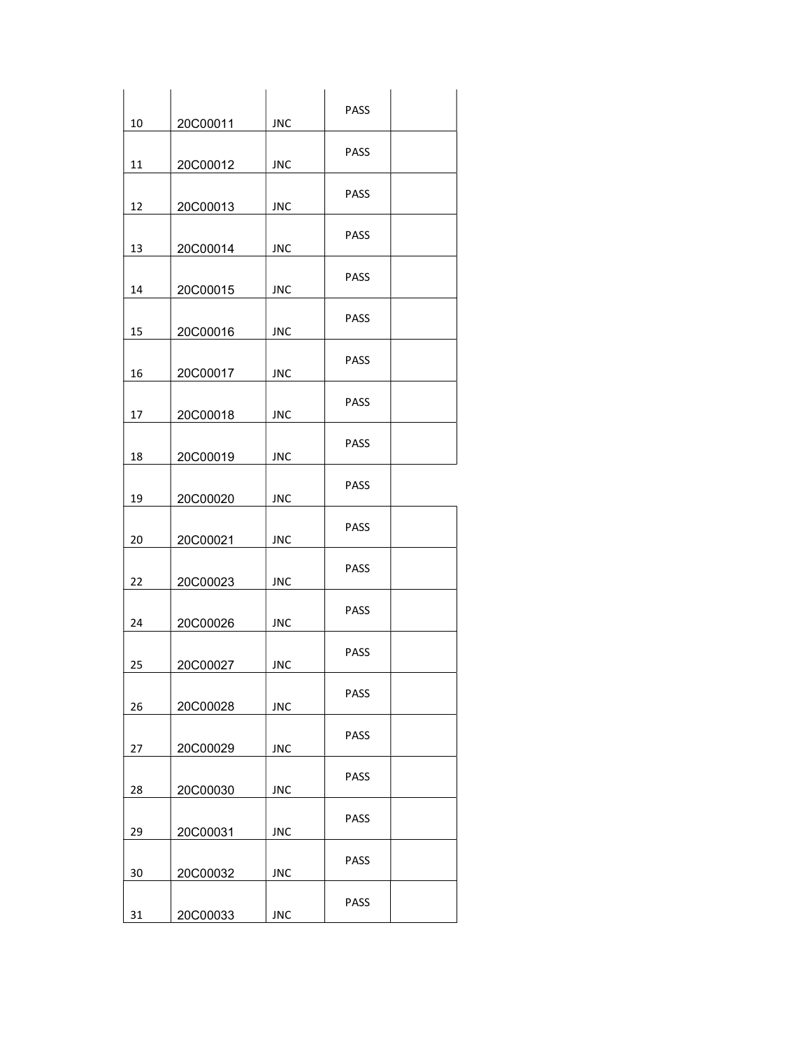| 10 | 20C00011 | <b>JNC</b> | PASS        |  |
|----|----------|------------|-------------|--|
| 11 | 20C00012 | <b>JNC</b> | <b>PASS</b> |  |
|    |          |            |             |  |
| 12 | 20C00013 | <b>JNC</b> | <b>PASS</b> |  |
| 13 | 20C00014 | <b>JNC</b> | <b>PASS</b> |  |
| 14 | 20C00015 | <b>JNC</b> | <b>PASS</b> |  |
| 15 | 20C00016 | <b>JNC</b> | <b>PASS</b> |  |
|    |          |            | <b>PASS</b> |  |
| 16 | 20C00017 | <b>JNC</b> |             |  |
| 17 | 20C00018 | <b>JNC</b> | PASS        |  |
| 18 | 20C00019 | <b>JNC</b> | <b>PASS</b> |  |
| 19 | 20C00020 | <b>JNC</b> | <b>PASS</b> |  |
|    |          |            | <b>PASS</b> |  |
| 20 | 20C00021 | <b>JNC</b> |             |  |
| 22 | 20C00023 | <b>JNC</b> | <b>PASS</b> |  |
| 24 | 20C00026 | <b>JNC</b> | <b>PASS</b> |  |
| 25 | 20C00027 | <b>JNC</b> | <b>PASS</b> |  |
| 26 | 20C00028 | <b>JNC</b> | PASS        |  |
| 27 | 20C00029 | <b>JNC</b> | PASS        |  |
| 28 | 20C00030 | <b>JNC</b> | PASS        |  |
|    |          |            | PASS        |  |
| 29 | 20C00031 | <b>JNC</b> |             |  |
| 30 | 20C00032 | <b>JNC</b> | PASS        |  |
| 31 | 20C00033 | JNC        | PASS        |  |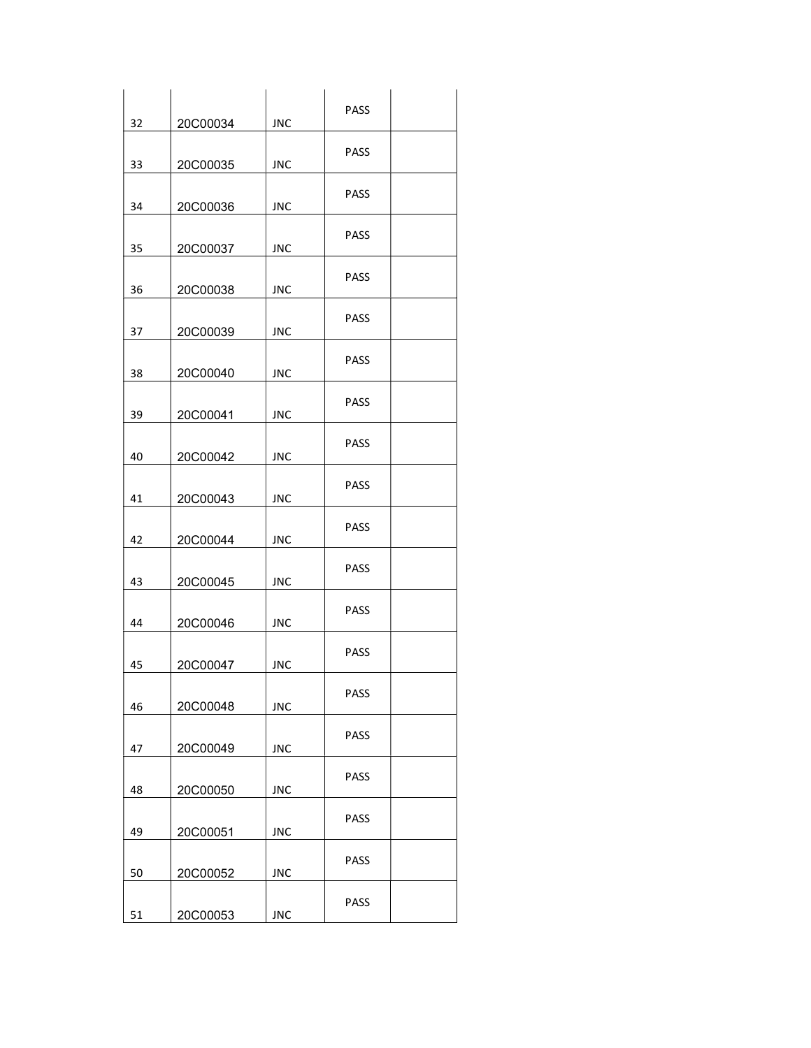| 32 | 20C00034 | <b>JNC</b> | <b>PASS</b> |  |
|----|----------|------------|-------------|--|
| 33 | 20C00035 | <b>JNC</b> | <b>PASS</b> |  |
| 34 | 20C00036 | JNC        | <b>PASS</b> |  |
| 35 | 20C00037 | JNC        | <b>PASS</b> |  |
| 36 | 20C00038 | <b>JNC</b> | <b>PASS</b> |  |
| 37 | 20C00039 | JNC        | <b>PASS</b> |  |
| 38 | 20C00040 | JNC        | <b>PASS</b> |  |
| 39 | 20C00041 | <b>JNC</b> | <b>PASS</b> |  |
| 40 | 20C00042 | <b>JNC</b> | <b>PASS</b> |  |
| 41 | 20C00043 | <b>JNC</b> | <b>PASS</b> |  |
| 42 | 20C00044 | JNC        | <b>PASS</b> |  |
| 43 | 20C00045 | JNC        | PASS        |  |
| 44 | 20C00046 | <b>JNC</b> | <b>PASS</b> |  |
| 45 | 20C00047 | <b>JNC</b> | <b>PASS</b> |  |
| 46 | 20C00048 | <b>JNC</b> | <b>PASS</b> |  |
| 47 | 20C00049 | <b>JNC</b> | <b>PASS</b> |  |
| 48 | 20C00050 | <b>JNC</b> | <b>PASS</b> |  |
| 49 | 20C00051 | <b>JNC</b> | <b>PASS</b> |  |
| 50 | 20C00052 | <b>JNC</b> | PASS        |  |
| 51 | 20C00053 | <b>JNC</b> | PASS        |  |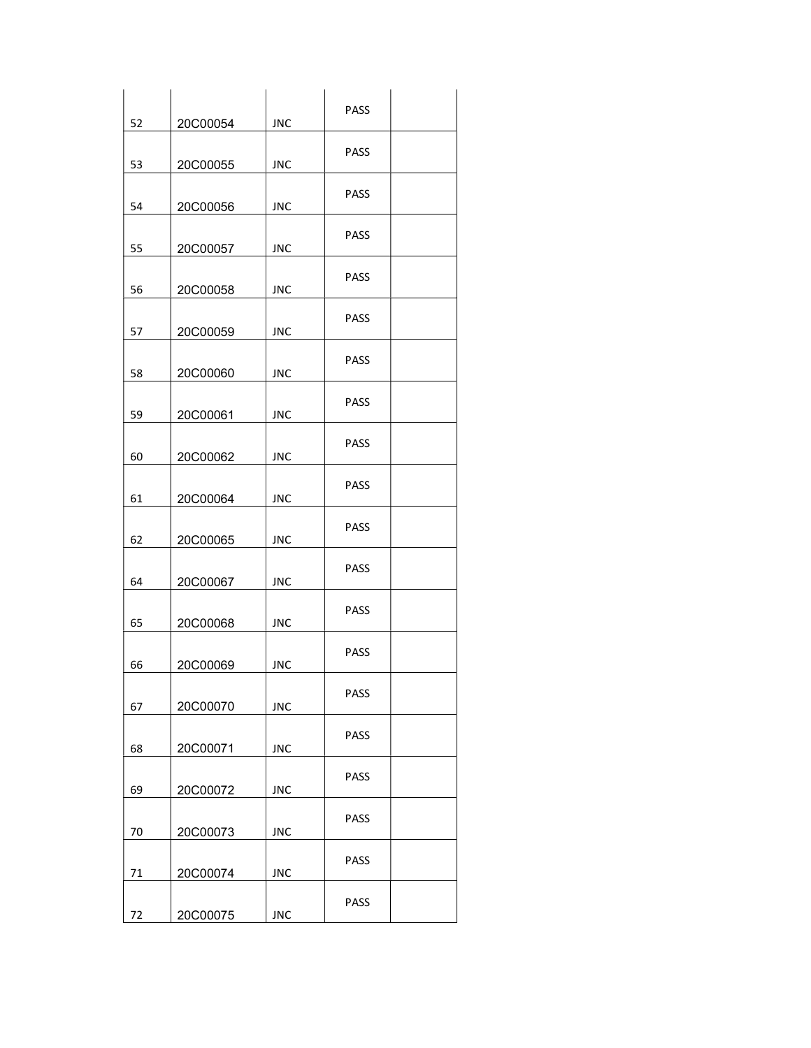| 52 | 20C00054 | JNC        | <b>PASS</b> |  |
|----|----------|------------|-------------|--|
| 53 | 20C00055 | <b>JNC</b> | <b>PASS</b> |  |
| 54 | 20C00056 | JNC        | <b>PASS</b> |  |
| 55 | 20C00057 | JNC        | <b>PASS</b> |  |
| 56 | 20C00058 | <b>JNC</b> | <b>PASS</b> |  |
| 57 | 20C00059 | JNC        | <b>PASS</b> |  |
| 58 | 20C00060 | JNC        | <b>PASS</b> |  |
| 59 | 20C00061 | <b>JNC</b> | <b>PASS</b> |  |
| 60 | 20C00062 | <b>JNC</b> | PASS        |  |
| 61 | 20C00064 | <b>JNC</b> | <b>PASS</b> |  |
| 62 | 20C00065 | JNC        | <b>PASS</b> |  |
| 64 | 20C00067 | <b>JNC</b> | PASS        |  |
| 65 | 20C00068 | <b>JNC</b> | <b>PASS</b> |  |
| 66 | 20C00069 | <b>JNC</b> | <b>PASS</b> |  |
| 67 | 20C00070 | <b>JNC</b> | <b>PASS</b> |  |
| 68 | 20C00071 | <b>JNC</b> | <b>PASS</b> |  |
| 69 | 20C00072 | <b>JNC</b> | <b>PASS</b> |  |
| 70 | 20C00073 | <b>JNC</b> | <b>PASS</b> |  |
| 71 | 20C00074 | <b>JNC</b> | <b>PASS</b> |  |
| 72 | 20C00075 | <b>JNC</b> | PASS        |  |
|    |          |            |             |  |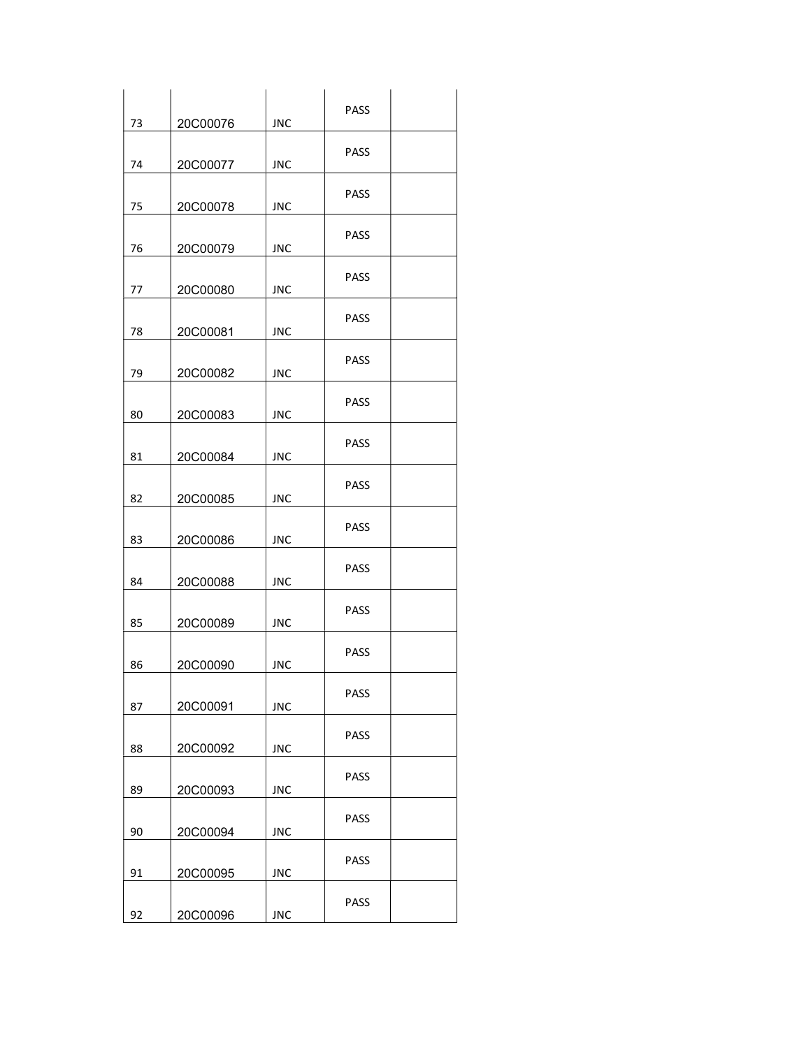| 73 | 20C00076 | <b>JNC</b> | PASS        |  |
|----|----------|------------|-------------|--|
| 74 | 20C00077 | <b>JNC</b> | PASS        |  |
|    |          |            | PASS        |  |
| 75 | 20C00078 | <b>JNC</b> | PASS        |  |
| 76 | 20C00079 | <b>JNC</b> | <b>PASS</b> |  |
| 77 | 20C00080 | <b>JNC</b> | <b>PASS</b> |  |
| 78 | 20C00081 | <b>JNC</b> |             |  |
| 79 | 20C00082 | <b>JNC</b> | PASS        |  |
| 80 | 20C00083 | <b>JNC</b> | PASS        |  |
| 81 | 20C00084 | <b>JNC</b> | <b>PASS</b> |  |
| 82 | 20C00085 | <b>JNC</b> | PASS        |  |
| 83 | 20C00086 | <b>JNC</b> | PASS        |  |
| 84 | 20C00088 | <b>JNC</b> | <b>PASS</b> |  |
| 85 | 20C00089 | <b>JNC</b> | <b>PASS</b> |  |
| 86 | 20C00090 | <b>JNC</b> | PASS        |  |
| 87 | 20C00091 | <b>JNC</b> | PASS        |  |
|    |          |            | PASS        |  |
| 88 | 20C00092 | <b>JNC</b> | PASS        |  |
| 89 | 20C00093 | <b>JNC</b> | <b>PASS</b> |  |
| 90 | 20C00094 | <b>JNC</b> | PASS        |  |
| 91 | 20C00095 | <b>JNC</b> |             |  |
| 92 | 20C00096 | <b>JNC</b> | <b>PASS</b> |  |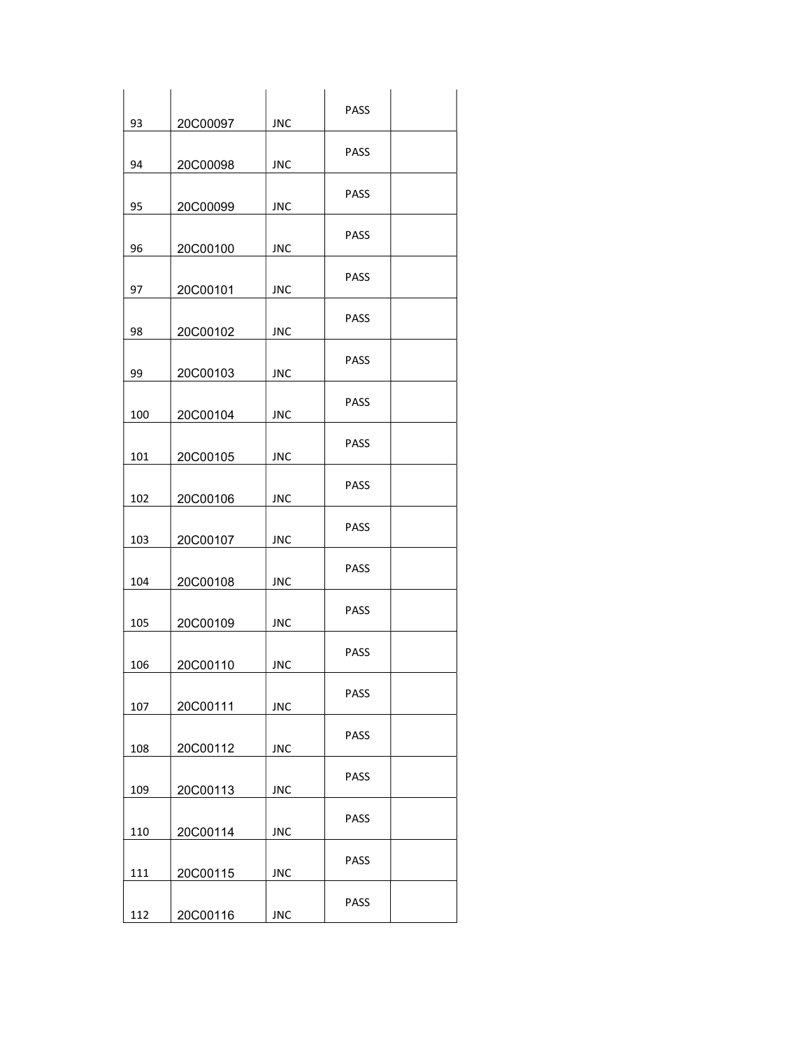| 93  | 20C00097 | <b>JNC</b> | PASS        |  |
|-----|----------|------------|-------------|--|
| 94  | 20C00098 | <b>JNC</b> | PASS        |  |
| 95  | 20C00099 | <b>JNC</b> | PASS        |  |
| 96  | 20C00100 | <b>JNC</b> | PASS        |  |
| 97  | 20C00101 | <b>JNC</b> | <b>PASS</b> |  |
| 98  | 20C00102 | <b>JNC</b> | <b>PASS</b> |  |
| 99  | 20C00103 | <b>JNC</b> | <b>PASS</b> |  |
| 100 | 20C00104 | <b>JNC</b> | PASS        |  |
| 101 | 20C00105 | <b>JNC</b> | <b>PASS</b> |  |
| 102 | 20C00106 | <b>JNC</b> | <b>PASS</b> |  |
| 103 | 20C00107 | <b>JNC</b> | <b>PASS</b> |  |
| 104 | 20C00108 | <b>JNC</b> | PASS        |  |
| 105 | 20C00109 | <b>JNC</b> | <b>PASS</b> |  |
| 106 | 20C00110 | <b>JNC</b> | <b>PASS</b> |  |
| 107 | 20C00111 | <b>JNC</b> | PASS        |  |
| 108 | 20C00112 | <b>JNC</b> | PASS        |  |
| 109 | 20C00113 | <b>JNC</b> | PASS        |  |
| 110 | 20C00114 | <b>JNC</b> | PASS        |  |
| 111 | 20C00115 | <b>JNC</b> | PASS        |  |
| 112 | 20C00116 | <b>JNC</b> | PASS        |  |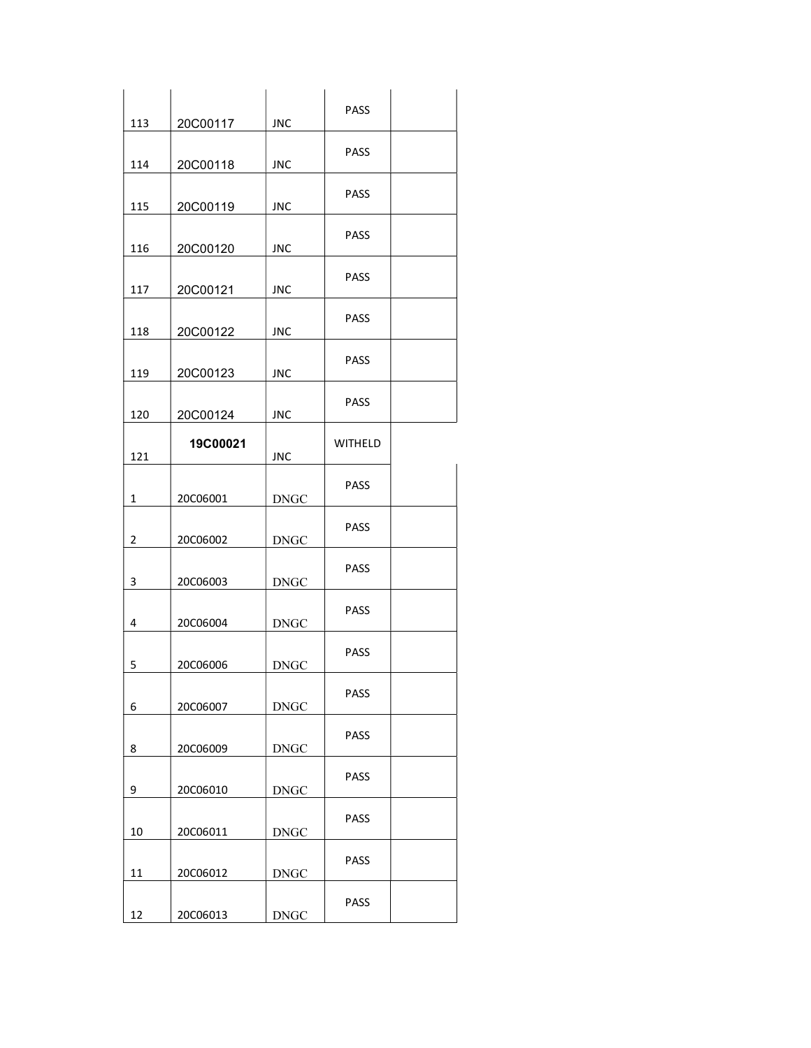| 113            | 20C00117 | <b>JNC</b>            | PASS           |  |
|----------------|----------|-----------------------|----------------|--|
|                |          |                       | <b>PASS</b>    |  |
| 114            | 20C00118 | <b>JNC</b>            |                |  |
| 115            | 20C00119 | <b>JNC</b>            | <b>PASS</b>    |  |
| 116            | 20C00120 | <b>JNC</b>            | <b>PASS</b>    |  |
| 117            | 20C00121 | <b>JNC</b>            | <b>PASS</b>    |  |
| 118            | 20C00122 | <b>JNC</b>            | <b>PASS</b>    |  |
| 119            | 20C00123 | <b>JNC</b>            | <b>PASS</b>    |  |
| 120            | 20C00124 | <b>JNC</b>            | <b>PASS</b>    |  |
| 121            | 19C00021 | <b>JNC</b>            | <b>WITHELD</b> |  |
| $\mathbf{1}$   | 20C06001 | <b>DNGC</b>           | <b>PASS</b>    |  |
| $\overline{2}$ | 20C06002 | <b>DNGC</b>           | <b>PASS</b>    |  |
| 3              | 20C06003 | <b>DNGC</b>           | <b>PASS</b>    |  |
| 4              | 20C06004 | <b>DNGC</b>           | <b>PASS</b>    |  |
| 5              | 20C06006 | <b>DNGC</b>           | <b>PASS</b>    |  |
| 6              | 20C06007 | $\operatorname{DNGC}$ | PASS           |  |
| 8              | 20C06009 | <b>DNGC</b>           | PASS           |  |
| 9              | 20C06010 | <b>DNGC</b>           | PASS           |  |
| $10\,$         | 20C06011 | <b>DNGC</b>           | PASS           |  |
| 11             | 20C06012 | $\operatorname{DNGC}$ | PASS           |  |
| 12             | 20C06013 | $\operatorname{DNGC}$ | PASS           |  |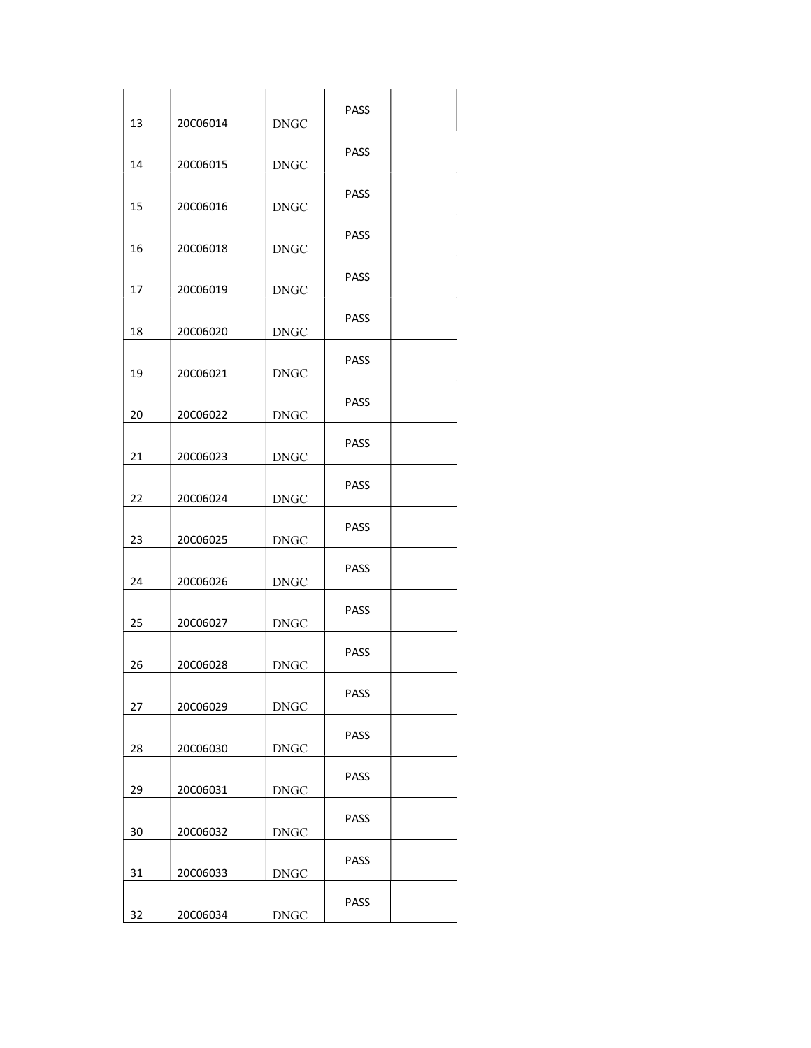| 13 | 20C06014 | <b>DNGC</b> | <b>PASS</b> |  |
|----|----------|-------------|-------------|--|
| 14 | 20C06015 | <b>DNGC</b> | <b>PASS</b> |  |
| 15 | 20C06016 | <b>DNGC</b> | <b>PASS</b> |  |
|    |          |             | <b>PASS</b> |  |
| 16 | 20C06018 | <b>DNGC</b> | <b>PASS</b> |  |
| 17 | 20C06019 | <b>DNGC</b> | PASS        |  |
| 18 | 20C06020 | <b>DNGC</b> | <b>PASS</b> |  |
| 19 | 20C06021 | <b>DNGC</b> | <b>PASS</b> |  |
| 20 | 20C06022 | <b>DNGC</b> | <b>PASS</b> |  |
| 21 | 20C06023 | <b>DNGC</b> | PASS        |  |
| 22 | 20C06024 | <b>DNGC</b> | <b>PASS</b> |  |
| 23 | 20C06025 | <b>DNGC</b> | PASS        |  |
| 24 | 20C06026 | <b>DNGC</b> |             |  |
| 25 | 20C06027 | <b>DNGC</b> | <b>PASS</b> |  |
| 26 | 20C06028 | <b>DNGC</b> | PASS        |  |
| 27 | 20C06029 | <b>DNGC</b> | <b>PASS</b> |  |
| 28 | 20C06030 | <b>DNGC</b> | PASS        |  |
| 29 | 20C06031 | <b>DNGC</b> | <b>PASS</b> |  |
| 30 | 20C06032 | <b>DNGC</b> | <b>PASS</b> |  |
| 31 | 20C06033 | <b>DNGC</b> | PASS        |  |
| 32 | 20C06034 | <b>DNGC</b> | PASS        |  |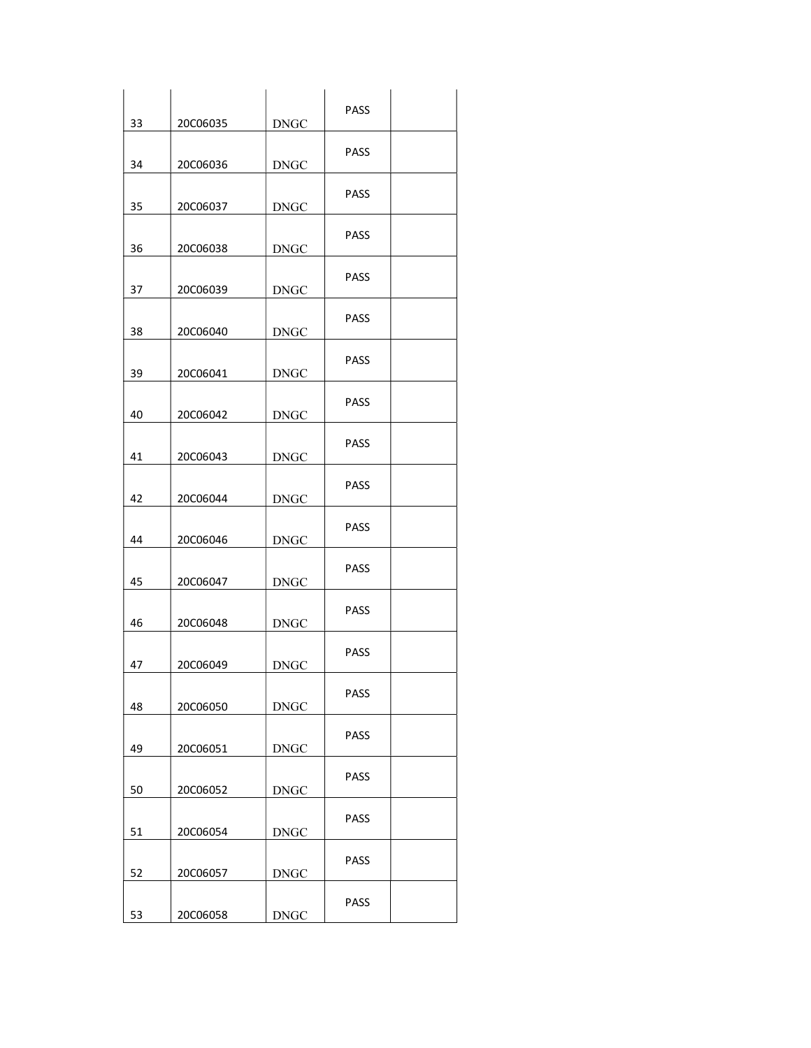| 33 | 20C06035 | <b>DNGC</b> | <b>PASS</b> |  |
|----|----------|-------------|-------------|--|
| 34 | 20C06036 | <b>DNGC</b> | <b>PASS</b> |  |
| 35 | 20C06037 | <b>DNGC</b> | <b>PASS</b> |  |
| 36 | 20C06038 | <b>DNGC</b> | <b>PASS</b> |  |
| 37 | 20C06039 | <b>DNGC</b> | <b>PASS</b> |  |
| 38 | 20C06040 | <b>DNGC</b> | <b>PASS</b> |  |
| 39 | 20C06041 | <b>DNGC</b> | <b>PASS</b> |  |
| 40 | 20C06042 | <b>DNGC</b> | <b>PASS</b> |  |
| 41 | 20C06043 | <b>DNGC</b> | <b>PASS</b> |  |
| 42 | 20C06044 | <b>DNGC</b> | <b>PASS</b> |  |
| 44 | 20C06046 | <b>DNGC</b> | <b>PASS</b> |  |
| 45 | 20C06047 | <b>DNGC</b> | <b>PASS</b> |  |
| 46 | 20C06048 | <b>DNGC</b> | <b>PASS</b> |  |
| 47 | 20C06049 | <b>DNGC</b> | PASS        |  |
| 48 | 20C06050 | <b>DNGC</b> | <b>PASS</b> |  |
| 49 | 20C06051 | <b>DNGC</b> | <b>PASS</b> |  |
| 50 | 20C06052 | <b>DNGC</b> | <b>PASS</b> |  |
| 51 | 20C06054 | <b>DNGC</b> | <b>PASS</b> |  |
| 52 | 20C06057 | <b>DNGC</b> | <b>PASS</b> |  |
| 53 | 20C06058 | <b>DNGC</b> | PASS        |  |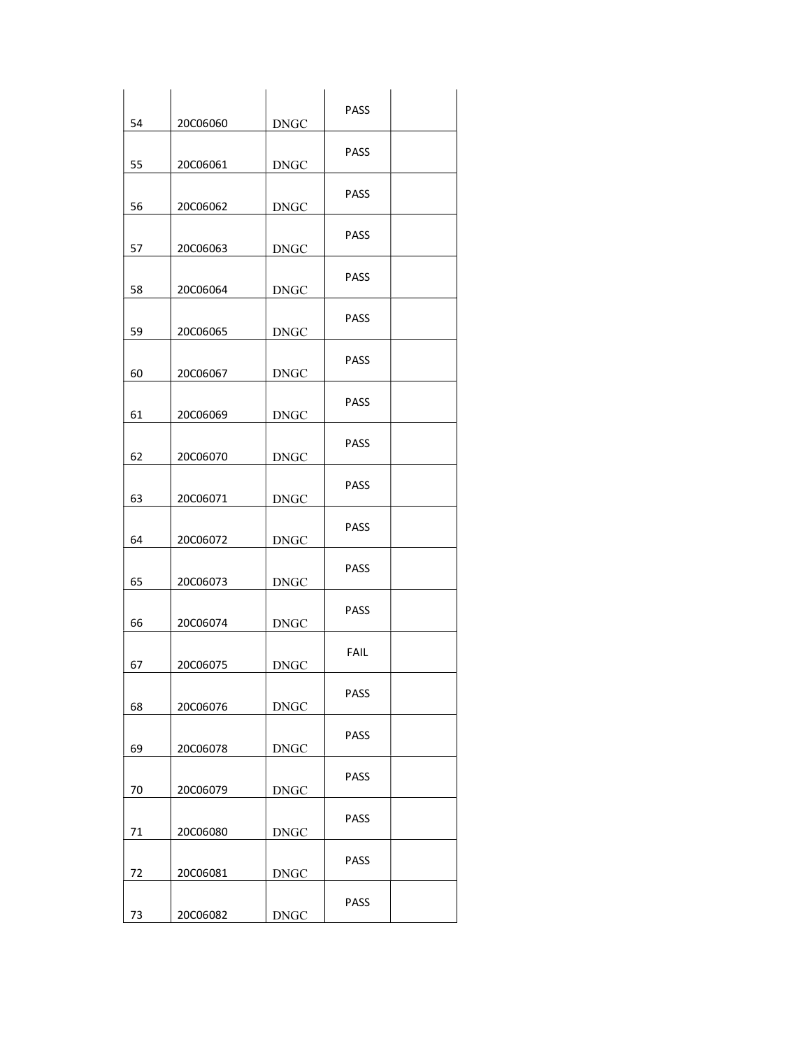| 54     | 20C06060 | <b>DNGC</b>           | PASS        |  |
|--------|----------|-----------------------|-------------|--|
|        |          |                       | PASS        |  |
| 55     | 20C06061 | <b>DNGC</b>           |             |  |
| 56     | 20C06062 | <b>DNGC</b>           | PASS        |  |
| 57     | 20C06063 | <b>DNGC</b>           | PASS        |  |
| 58     | 20C06064 | <b>DNGC</b>           | <b>PASS</b> |  |
| 59     | 20C06065 | <b>DNGC</b>           | <b>PASS</b> |  |
| 60     | 20C06067 | <b>DNGC</b>           | <b>PASS</b> |  |
| 61     | 20C06069 | <b>DNGC</b>           | PASS        |  |
| 62     | 20C06070 | <b>DNGC</b>           | <b>PASS</b> |  |
| 63     | 20C06071 | <b>DNGC</b>           | <b>PASS</b> |  |
| 64     | 20C06072 | <b>DNGC</b>           | <b>PASS</b> |  |
| 65     | 20C06073 | <b>DNGC</b>           | PASS        |  |
| 66     | 20C06074 | <b>DNGC</b>           | PASS        |  |
| 67     | 20C06075 | <b>DNGC</b>           | <b>FAIL</b> |  |
| 68     | 20C06076 | $\operatorname{DNGC}$ | PASS        |  |
| 69     | 20C06078 | <b>DNGC</b>           | PASS        |  |
| 70     | 20C06079 | $\operatorname{DNGC}$ | PASS        |  |
| $71\,$ | 20C06080 | <b>DNGC</b>           | PASS        |  |
| 72     | 20C06081 | $\operatorname{DNGC}$ | PASS        |  |
| 73     | 20C06082 | $\operatorname{DNGC}$ | PASS        |  |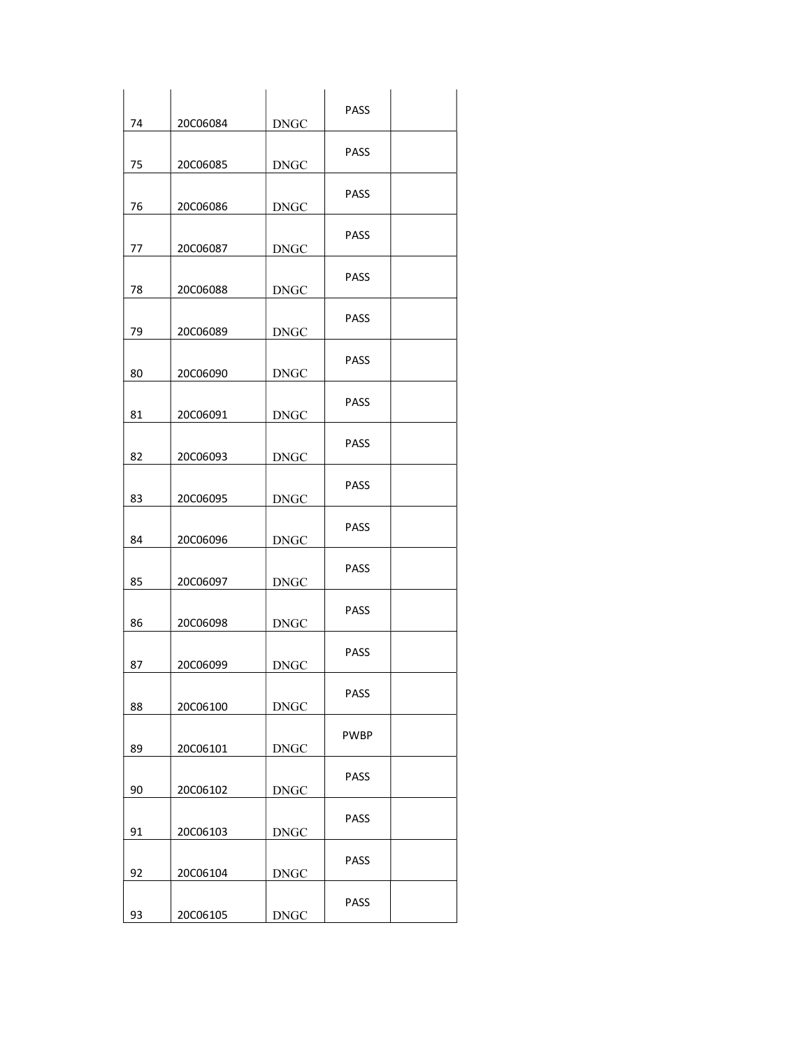| 74 | 20C06084 | <b>DNGC</b>           | PASS        |  |
|----|----------|-----------------------|-------------|--|
| 75 | 20C06085 | <b>DNGC</b>           | <b>PASS</b> |  |
| 76 | 20C06086 | <b>DNGC</b>           | <b>PASS</b> |  |
| 77 | 20C06087 | <b>DNGC</b>           | <b>PASS</b> |  |
| 78 | 20C06088 | <b>DNGC</b>           | <b>PASS</b> |  |
| 79 | 20C06089 | <b>DNGC</b>           | <b>PASS</b> |  |
| 80 | 20C06090 | <b>DNGC</b>           | <b>PASS</b> |  |
| 81 | 20C06091 | <b>DNGC</b>           | <b>PASS</b> |  |
| 82 | 20C06093 | <b>DNGC</b>           | <b>PASS</b> |  |
| 83 | 20C06095 | <b>DNGC</b>           | <b>PASS</b> |  |
| 84 | 20C06096 | <b>DNGC</b>           | PASS        |  |
| 85 | 20C06097 | <b>DNGC</b>           | <b>PASS</b> |  |
| 86 | 20C06098 | <b>DNGC</b>           | <b>PASS</b> |  |
| 87 | 20C06099 | <b>DNGC</b>           | <b>PASS</b> |  |
| 88 | 20C06100 | $\operatorname{DNGC}$ | PASS        |  |
| 89 | 20C06101 | <b>DNGC</b>           | <b>PWBP</b> |  |
| 90 | 20C06102 | $\operatorname{DNGC}$ | PASS        |  |
| 91 | 20C06103 | <b>DNGC</b>           | PASS        |  |
| 92 | 20C06104 | $\operatorname{DNGC}$ | PASS        |  |
| 93 | 20C06105 | <b>DNGC</b>           | PASS        |  |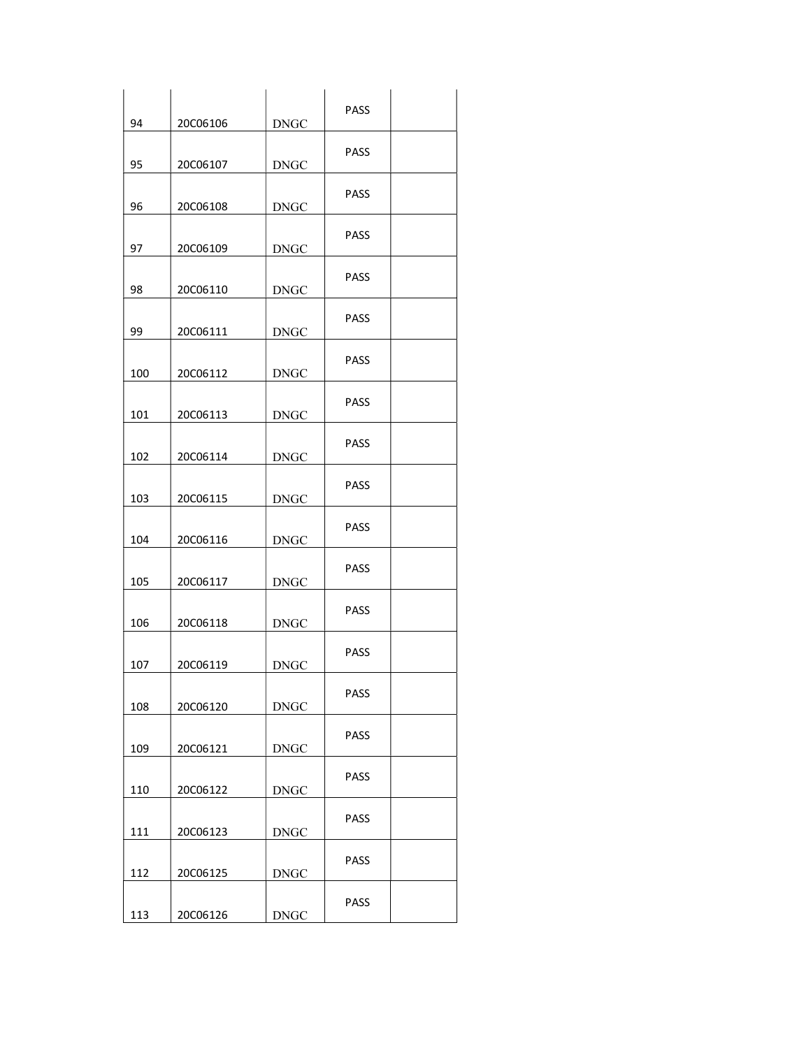| 94  | 20C06106 | <b>DNGC</b>           | PASS        |  |
|-----|----------|-----------------------|-------------|--|
| 95  | 20C06107 | <b>DNGC</b>           | PASS        |  |
| 96  | 20C06108 | <b>DNGC</b>           | PASS        |  |
| 97  | 20C06109 | <b>DNGC</b>           | PASS        |  |
| 98  | 20C06110 | <b>DNGC</b>           | <b>PASS</b> |  |
| 99  | 20C06111 | <b>DNGC</b>           | <b>PASS</b> |  |
| 100 | 20C06112 | <b>DNGC</b>           | <b>PASS</b> |  |
| 101 | 20C06113 | <b>DNGC</b>           | PASS        |  |
| 102 | 20C06114 | <b>DNGC</b>           | <b>PASS</b> |  |
| 103 | 20C06115 | <b>DNGC</b>           | <b>PASS</b> |  |
| 104 | 20C06116 | <b>DNGC</b>           | <b>PASS</b> |  |
| 105 | 20C06117 | <b>DNGC</b>           | PASS        |  |
| 106 | 20C06118 | <b>DNGC</b>           | <b>PASS</b> |  |
| 107 | 20C06119 | $\operatorname{DNGC}$ | <b>PASS</b> |  |
| 108 | 20C06120 | $\operatorname{DNGC}$ | PASS        |  |
| 109 | 20C06121 | $\operatorname{DNGC}$ | PASS        |  |
| 110 | 20C06122 | $\operatorname{DNGC}$ | PASS        |  |
| 111 | 20C06123 | <b>DNGC</b>           | PASS        |  |
| 112 | 20C06125 | $\operatorname{DNGC}$ | PASS        |  |
| 113 | 20C06126 | $\operatorname{DNGC}$ | PASS        |  |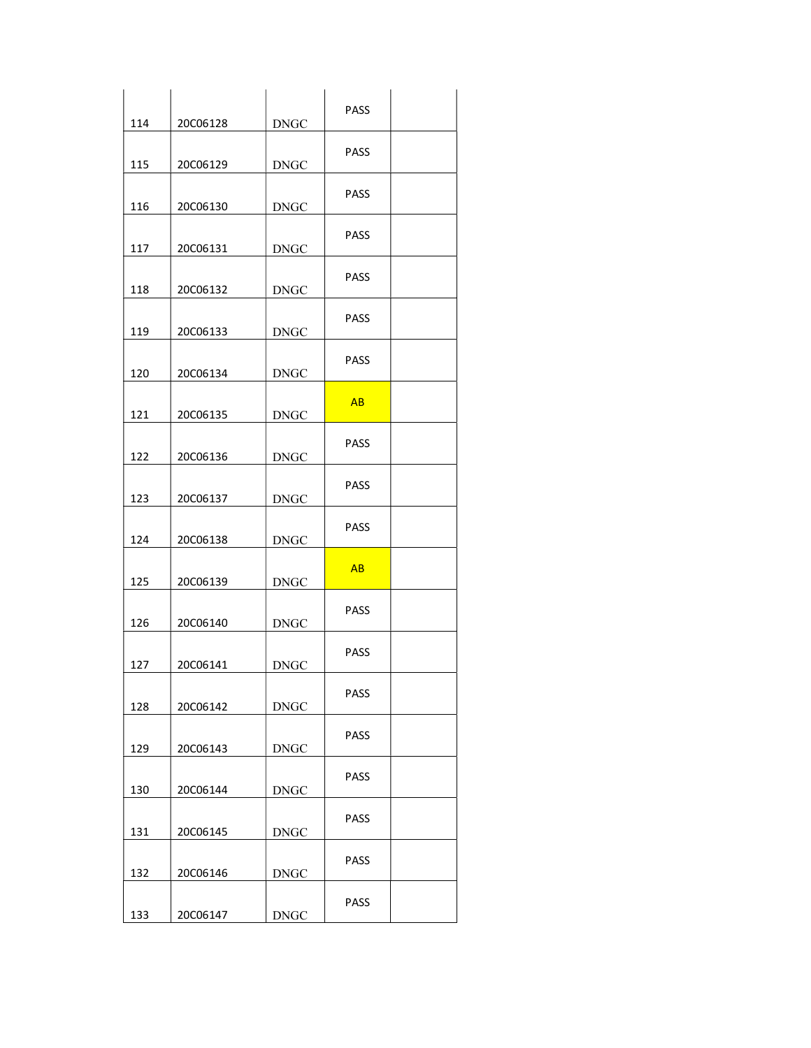| 114 | 20C06128 | <b>DNGC</b>           | PASS        |  |
|-----|----------|-----------------------|-------------|--|
| 115 | 20C06129 | <b>DNGC</b>           | PASS        |  |
| 116 | 20C06130 | <b>DNGC</b>           | PASS        |  |
| 117 | 20C06131 | <b>DNGC</b>           | PASS        |  |
| 118 | 20C06132 | <b>DNGC</b>           | <b>PASS</b> |  |
| 119 | 20C06133 | <b>DNGC</b>           | <b>PASS</b> |  |
| 120 | 20C06134 | <b>DNGC</b>           | <b>PASS</b> |  |
| 121 | 20C06135 | <b>DNGC</b>           | AB          |  |
| 122 | 20C06136 | <b>DNGC</b>           | <b>PASS</b> |  |
| 123 | 20C06137 | <b>DNGC</b>           | <b>PASS</b> |  |
| 124 | 20C06138 | <b>DNGC</b>           | <b>PASS</b> |  |
| 125 | 20C06139 | <b>DNGC</b>           | AB          |  |
| 126 | 20C06140 | <b>DNGC</b>           | <b>PASS</b> |  |
| 127 | 20C06141 | <b>DNGC</b>           | <b>PASS</b> |  |
| 128 | 20C06142 | $\operatorname{DNGC}$ | PASS        |  |
| 129 | 20C06143 | <b>DNGC</b>           | PASS        |  |
| 130 | 20C06144 | $\operatorname{DNGC}$ | PASS        |  |
| 131 | 20C06145 | <b>DNGC</b>           | PASS        |  |
| 132 | 20C06146 | $\operatorname{DNGC}$ | PASS        |  |
| 133 | 20C06147 | $\operatorname{DNGC}$ | PASS        |  |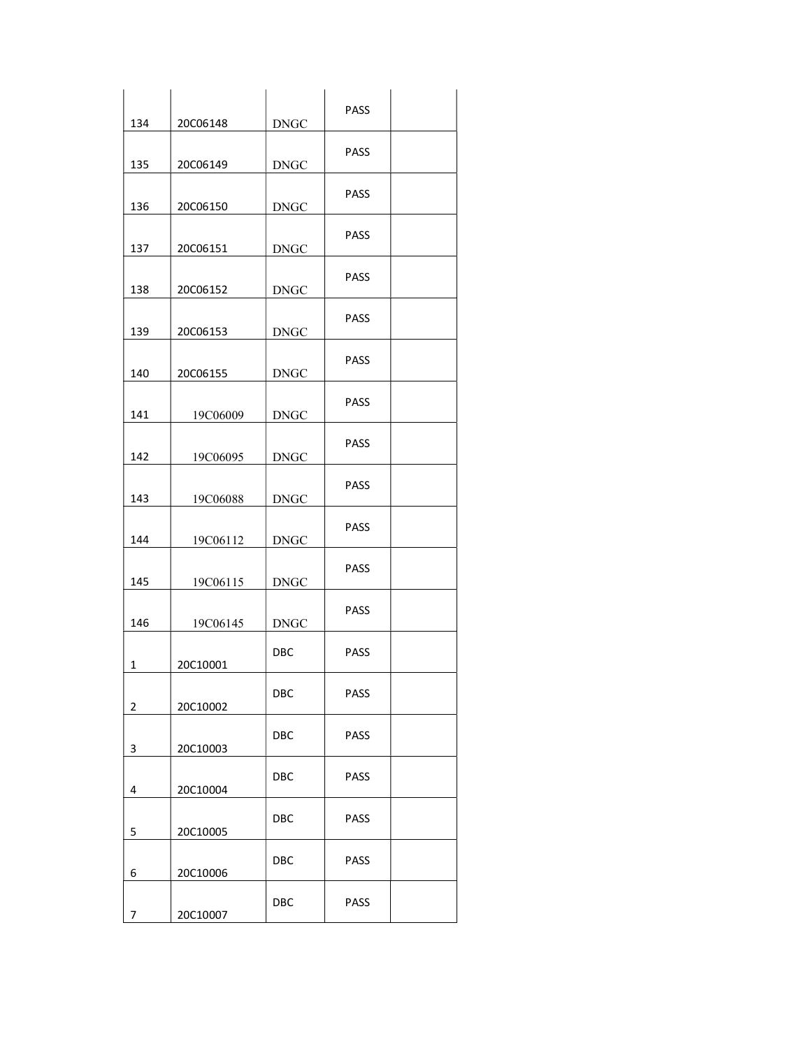| 134            | 20C06148 | <b>DNGC</b> | PASS        |  |
|----------------|----------|-------------|-------------|--|
| 135            | 20C06149 | <b>DNGC</b> | PASS        |  |
| 136            | 20C06150 | <b>DNGC</b> | PASS        |  |
| 137            | 20C06151 | <b>DNGC</b> | PASS        |  |
| 138            | 20C06152 | <b>DNGC</b> | <b>PASS</b> |  |
| 139            | 20C06153 | <b>DNGC</b> | <b>PASS</b> |  |
| 140            | 20C06155 | <b>DNGC</b> | <b>PASS</b> |  |
| 141            | 19C06009 | <b>DNGC</b> | PASS        |  |
| 142            | 19C06095 | <b>DNGC</b> | <b>PASS</b> |  |
| 143            | 19C06088 | <b>DNGC</b> | <b>PASS</b> |  |
| 144            | 19C06112 | <b>DNGC</b> | <b>PASS</b> |  |
| 145            | 19C06115 | <b>DNGC</b> | PASS        |  |
| 146            | 19C06145 | <b>DNGC</b> | <b>PASS</b> |  |
| $\mathbf{1}$   | 20C10001 | DBC         | <b>PASS</b> |  |
| $\overline{2}$ | 20C10002 | DBC         | PASS        |  |
| 3              | 20C10003 | DBC         | PASS        |  |
| 4              | 20C10004 | DBC         | PASS        |  |
| 5              | 20C10005 | DBC         | PASS        |  |
| 6              | 20C10006 | DBC         | PASS        |  |
| 7              | 20C10007 | DBC         | PASS        |  |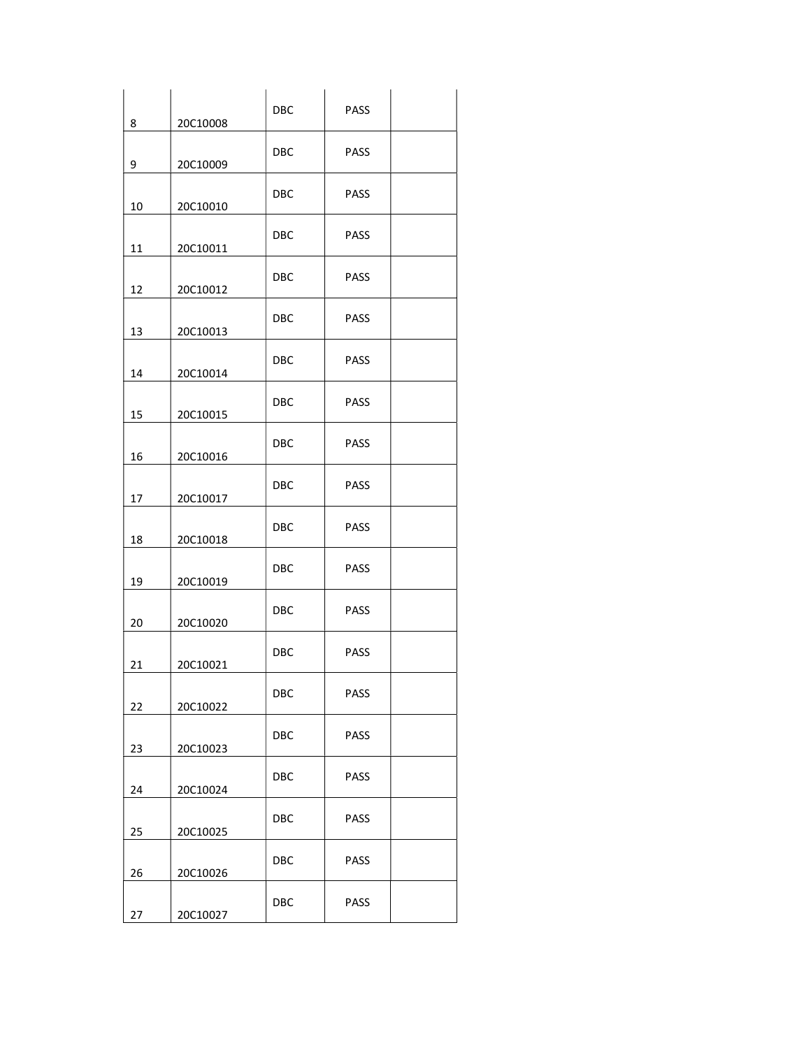| 8  | 20C10008 | DBC        | PASS        |  |
|----|----------|------------|-------------|--|
| 9  | 20C10009 | <b>DBC</b> | PASS        |  |
| 10 | 20C10010 | DBC        | PASS        |  |
| 11 | 20C10011 | DBC        | <b>PASS</b> |  |
| 12 | 20C10012 | <b>DBC</b> | <b>PASS</b> |  |
| 13 | 20C10013 | <b>DBC</b> | <b>PASS</b> |  |
| 14 | 20C10014 | DBC        | <b>PASS</b> |  |
| 15 | 20C10015 | <b>DBC</b> | <b>PASS</b> |  |
| 16 | 20C10016 | <b>DBC</b> | <b>PASS</b> |  |
| 17 | 20C10017 | <b>DBC</b> | <b>PASS</b> |  |
| 18 | 20C10018 | <b>DBC</b> | <b>PASS</b> |  |
| 19 | 20C10019 | <b>DBC</b> | <b>PASS</b> |  |
| 20 | 20C10020 | DBC        | <b>PASS</b> |  |
| 21 | 20C10021 | DBC        | <b>PASS</b> |  |
| 22 | 20C10022 | DBC        | PASS        |  |
| 23 | 20C10023 | DBC        | PASS        |  |
| 24 | 20C10024 | DBC        | PASS        |  |
| 25 | 20C10025 | DBC        | <b>PASS</b> |  |
| 26 | 20C10026 | <b>DBC</b> | PASS        |  |
| 27 | 20C10027 | DBC        | PASS        |  |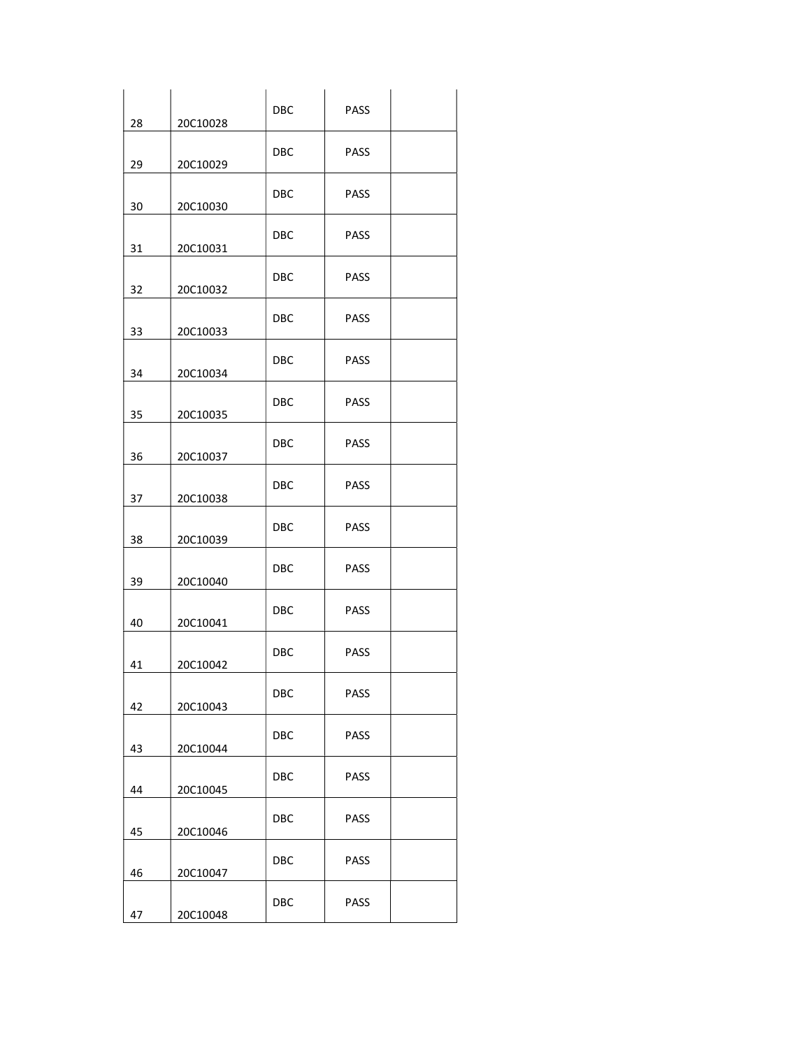| 28 | 20C10028 | DBC        | <b>PASS</b> |  |
|----|----------|------------|-------------|--|
| 29 | 20C10029 | DBC        | <b>PASS</b> |  |
| 30 | 20C10030 | DBC.       | <b>PASS</b> |  |
| 31 | 20C10031 | <b>DBC</b> | <b>PASS</b> |  |
| 32 | 20C10032 | <b>DBC</b> | <b>PASS</b> |  |
| 33 | 20C10033 | DBC        | PASS        |  |
| 34 | 20C10034 | DBC        | <b>PASS</b> |  |
| 35 | 20C10035 | <b>DBC</b> | <b>PASS</b> |  |
| 36 | 20C10037 | DBC        | <b>PASS</b> |  |
| 37 | 20C10038 | DBC        | <b>PASS</b> |  |
| 38 | 20C10039 | DBC        | <b>PASS</b> |  |
| 39 | 20C10040 | DBC        | <b>PASS</b> |  |
| 40 | 20C10041 | DBC        | <b>PASS</b> |  |
| 41 | 20C10042 | DBC        | <b>PASS</b> |  |
| 42 | 20C10043 | <b>DBC</b> | <b>PASS</b> |  |
| 43 | 20C10044 | DBC        | <b>PASS</b> |  |
| 44 | 20C10045 | DBC        | <b>PASS</b> |  |
| 45 | 20C10046 | <b>DBC</b> | <b>PASS</b> |  |
| 46 | 20C10047 | <b>DBC</b> | <b>PASS</b> |  |
| 47 | 20C10048 | DBC        | PASS        |  |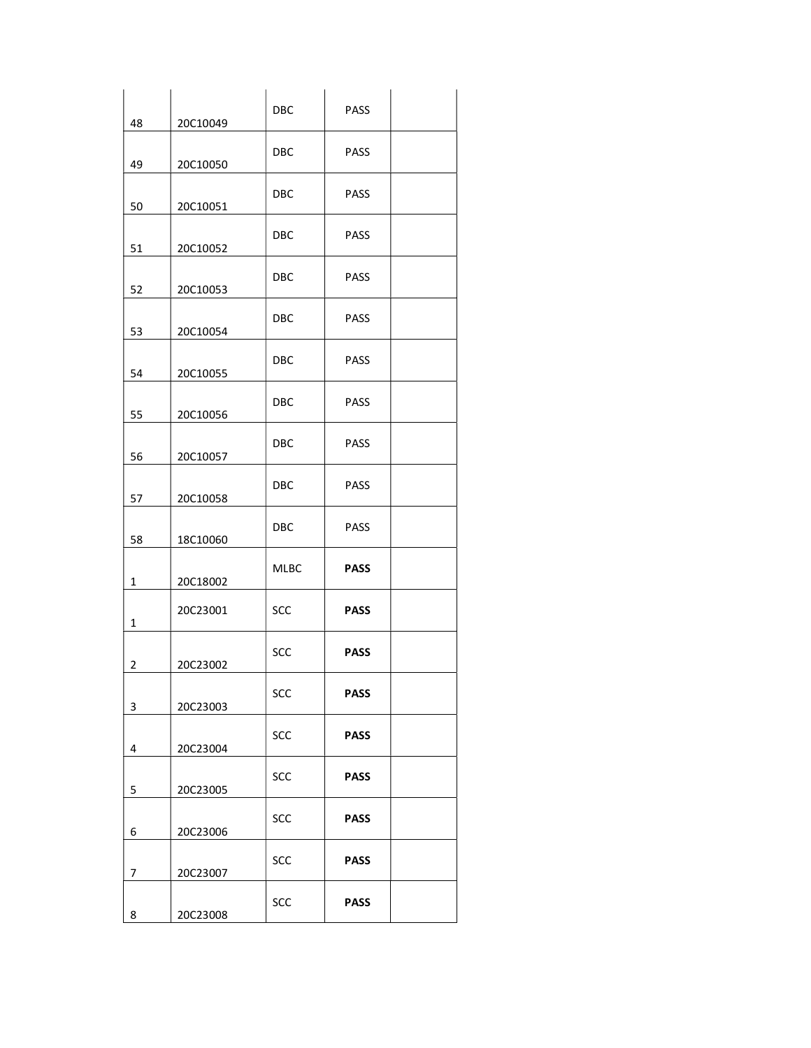| 48 | 20C10049 | DBC        | PASS        |  |
|----|----------|------------|-------------|--|
| 49 | 20C10050 | <b>DBC</b> | PASS        |  |
| 50 | 20C10051 | DBC        | PASS        |  |
| 51 | 20C10052 | DBC        | <b>PASS</b> |  |
| 52 | 20C10053 | <b>DBC</b> | <b>PASS</b> |  |
| 53 | 20C10054 | <b>DBC</b> | <b>PASS</b> |  |
| 54 | 20C10055 | DBC        | <b>PASS</b> |  |
| 55 | 20C10056 | <b>DBC</b> | <b>PASS</b> |  |
| 56 | 20C10057 | <b>DBC</b> | <b>PASS</b> |  |
| 57 | 20C10058 | <b>DBC</b> | <b>PASS</b> |  |
| 58 | 18C10060 | <b>DBC</b> | <b>PASS</b> |  |
| 1  | 20C18002 | MLBC       | <b>PASS</b> |  |
| 1  | 20C23001 | SCC        | <b>PASS</b> |  |
| 2  | 20C23002 | <b>SCC</b> | <b>PASS</b> |  |
| 3  | 20C23003 | SCC        | <b>PASS</b> |  |
| 4  | 20C23004 | SCC        | <b>PASS</b> |  |
| 5  | 20C23005 | SCC        | <b>PASS</b> |  |
| 6  | 20C23006 | SCC        | <b>PASS</b> |  |
| 7  | 20C23007 | SCC        | <b>PASS</b> |  |
| 8  | 20C23008 | SCC        | <b>PASS</b> |  |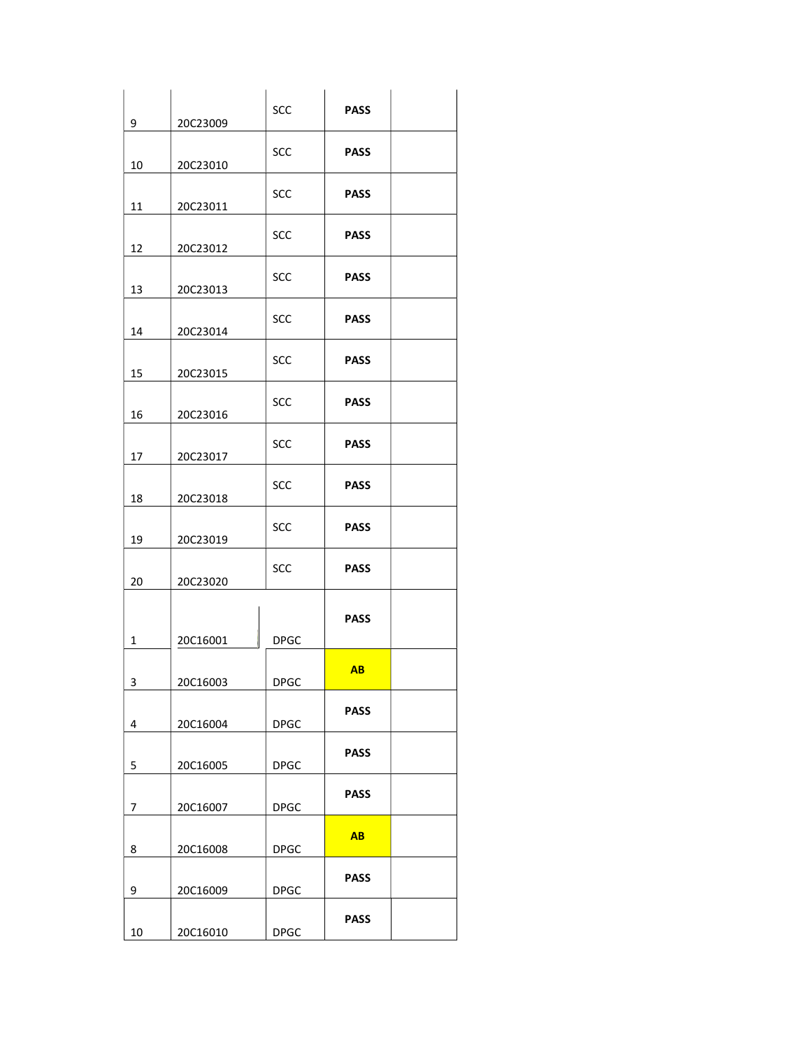| 9              | 20C23009 | SCC         | <b>PASS</b> |  |
|----------------|----------|-------------|-------------|--|
| 10             | 20C23010 | SCC         | <b>PASS</b> |  |
|                |          | SCC         | <b>PASS</b> |  |
| 11             | 20C23011 | SCC         | <b>PASS</b> |  |
| 12             | 20C23012 |             |             |  |
| 13             | 20C23013 | <b>SCC</b>  | <b>PASS</b> |  |
| 14             | 20C23014 | SCC         | <b>PASS</b> |  |
| 15             | 20C23015 | <b>SCC</b>  | <b>PASS</b> |  |
| 16             | 20C23016 | SCC         | <b>PASS</b> |  |
| 17             | 20C23017 | <b>SCC</b>  | <b>PASS</b> |  |
| 18             | 20C23018 | SCC         | <b>PASS</b> |  |
| 19             | 20C23019 | SCC         | <b>PASS</b> |  |
| 20             | 20C23020 | SCC         | <b>PASS</b> |  |
|                |          |             | <b>PASS</b> |  |
| $\mathbf{1}$   | 20C16001 | <b>DPGC</b> |             |  |
| 3              | 20C16003 | <b>DPGC</b> | AB          |  |
| 4              | 20C16004 | <b>DPGC</b> | <b>PASS</b> |  |
| 5              | 20C16005 | <b>DPGC</b> | <b>PASS</b> |  |
| $\overline{7}$ | 20C16007 | <b>DPGC</b> | <b>PASS</b> |  |
|                |          |             | <b>AB</b>   |  |
| 8              | 20C16008 | <b>DPGC</b> | <b>PASS</b> |  |
| 9              | 20C16009 | <b>DPGC</b> |             |  |
| 10             | 20C16010 | <b>DPGC</b> | <b>PASS</b> |  |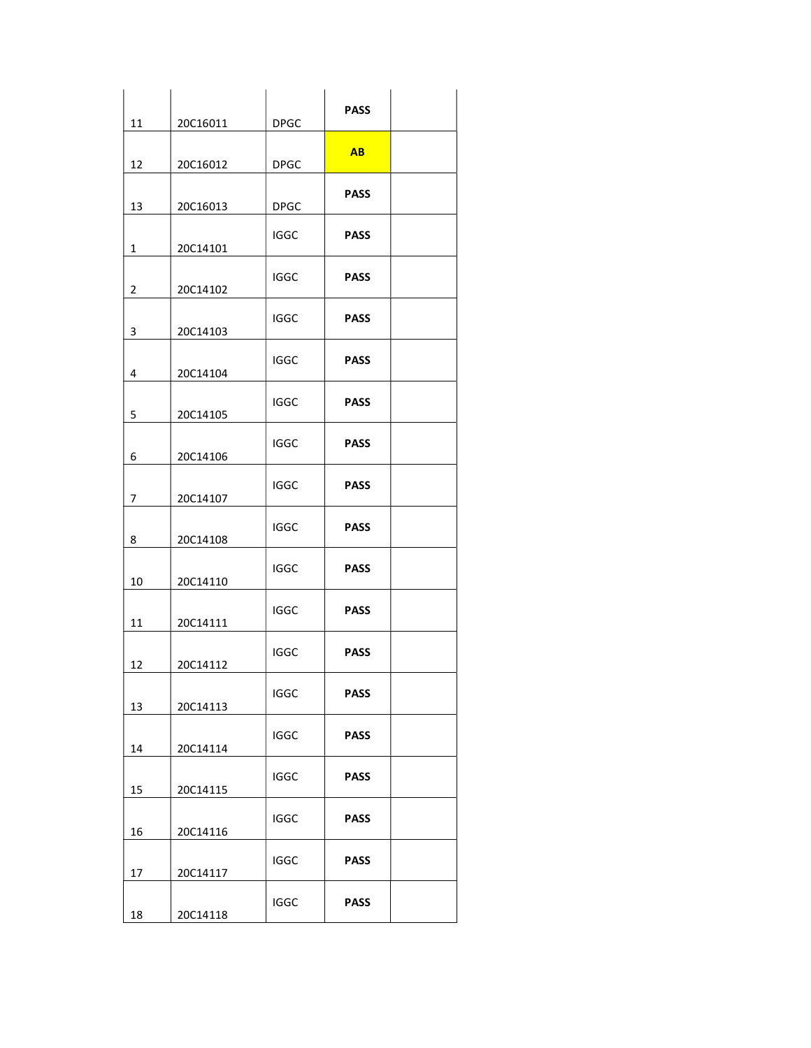| 11             | 20C16011 | <b>DPGC</b> | <b>PASS</b> |  |
|----------------|----------|-------------|-------------|--|
|                |          |             |             |  |
| 12             | 20C16012 | <b>DPGC</b> | <b>AB</b>   |  |
| 13             | 20C16013 | <b>DPGC</b> | <b>PASS</b> |  |
|                |          |             |             |  |
| 1              | 20C14101 | IGGC        | <b>PASS</b> |  |
| $\overline{2}$ | 20C14102 | <b>IGGC</b> | <b>PASS</b> |  |
| 3              | 20C14103 | <b>IGGC</b> | <b>PASS</b> |  |
| 4              | 20C14104 | IGGC        | <b>PASS</b> |  |
| 5              | 20C14105 | <b>IGGC</b> | <b>PASS</b> |  |
| 6              | 20C14106 | <b>IGGC</b> | <b>PASS</b> |  |
| 7              | 20C14107 | IGGC        | <b>PASS</b> |  |
| 8              | 20C14108 | <b>IGGC</b> | <b>PASS</b> |  |
| 10             | 20C14110 | <b>IGGC</b> | <b>PASS</b> |  |
| 11             | 20C14111 | <b>IGGC</b> | <b>PASS</b> |  |
| 12             | 20C14112 | <b>IGGC</b> | <b>PASS</b> |  |
| 13             | 20C14113 | <b>IGGC</b> | <b>PASS</b> |  |
| 14             | 20C14114 | <b>IGGC</b> | <b>PASS</b> |  |
| 15             | 20C14115 | <b>IGGC</b> | <b>PASS</b> |  |
| 16             | 20C14116 | <b>IGGC</b> | <b>PASS</b> |  |
| 17             | 20C14117 | <b>IGGC</b> | <b>PASS</b> |  |
| 18             | 20C14118 | <b>IGGC</b> | <b>PASS</b> |  |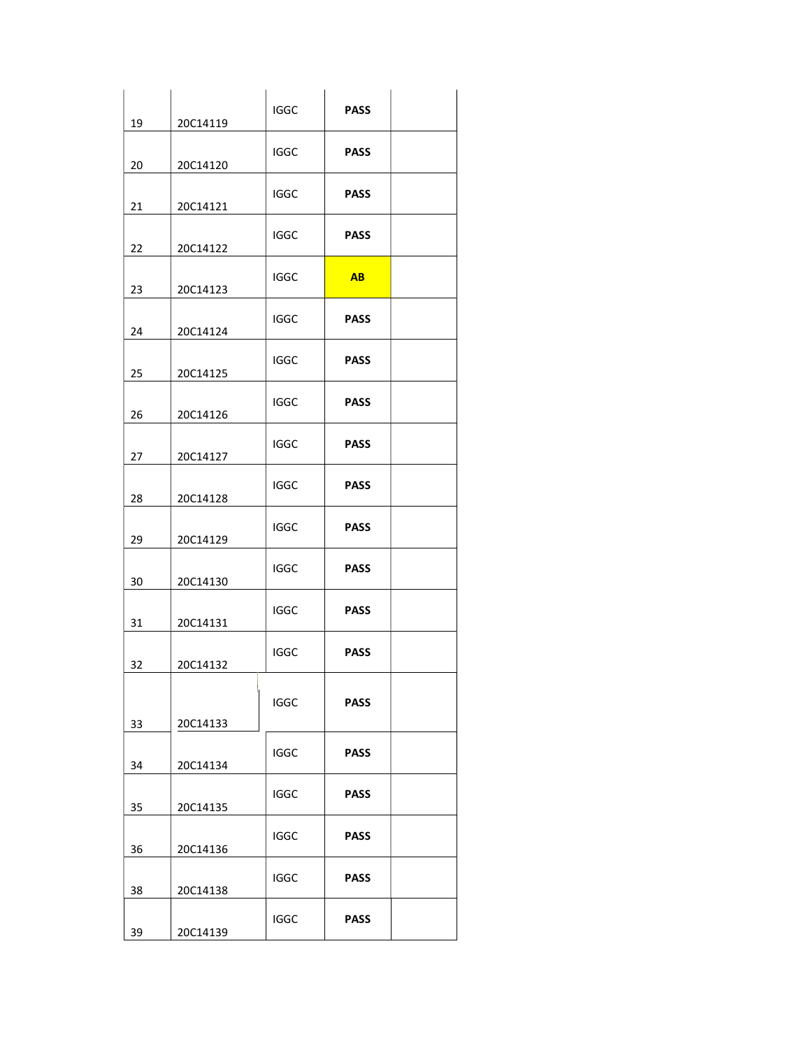|    |          | <b>IGGC</b> | <b>PASS</b> |  |
|----|----------|-------------|-------------|--|
| 19 | 20C14119 | IGGC        | <b>PASS</b> |  |
| 20 | 20C14120 |             |             |  |
| 21 | 20C14121 | IGGC        | <b>PASS</b> |  |
|    |          | <b>IGGC</b> | <b>PASS</b> |  |
| 22 | 20C14122 |             |             |  |
| 23 | 20C14123 | IGGC        | AB          |  |
| 24 | 20C14124 | <b>IGGC</b> | <b>PASS</b> |  |
| 25 | 20C14125 | <b>IGGC</b> | <b>PASS</b> |  |
| 26 | 20C14126 | IGGC        | <b>PASS</b> |  |
| 27 | 20C14127 | <b>IGGC</b> | <b>PASS</b> |  |
| 28 | 20C14128 | <b>IGGC</b> | <b>PASS</b> |  |
| 29 | 20C14129 | <b>IGGC</b> | <b>PASS</b> |  |
| 30 | 20C14130 | <b>IGGC</b> | <b>PASS</b> |  |
| 31 | 20C14131 | IGGC        | <b>PASS</b> |  |
| 32 | 20C14132 | <b>IGGC</b> | <b>PASS</b> |  |
|    |          | <b>IGGC</b> | <b>PASS</b> |  |
| 33 | 20C14133 | <b>IGGC</b> | <b>PASS</b> |  |
| 34 | 20C14134 |             |             |  |
| 35 | 20C14135 | <b>IGGC</b> | <b>PASS</b> |  |
| 36 | 20C14136 | <b>IGGC</b> | <b>PASS</b> |  |
| 38 | 20C14138 | <b>IGGC</b> | <b>PASS</b> |  |
| 39 | 20C14139 | <b>IGGC</b> | <b>PASS</b> |  |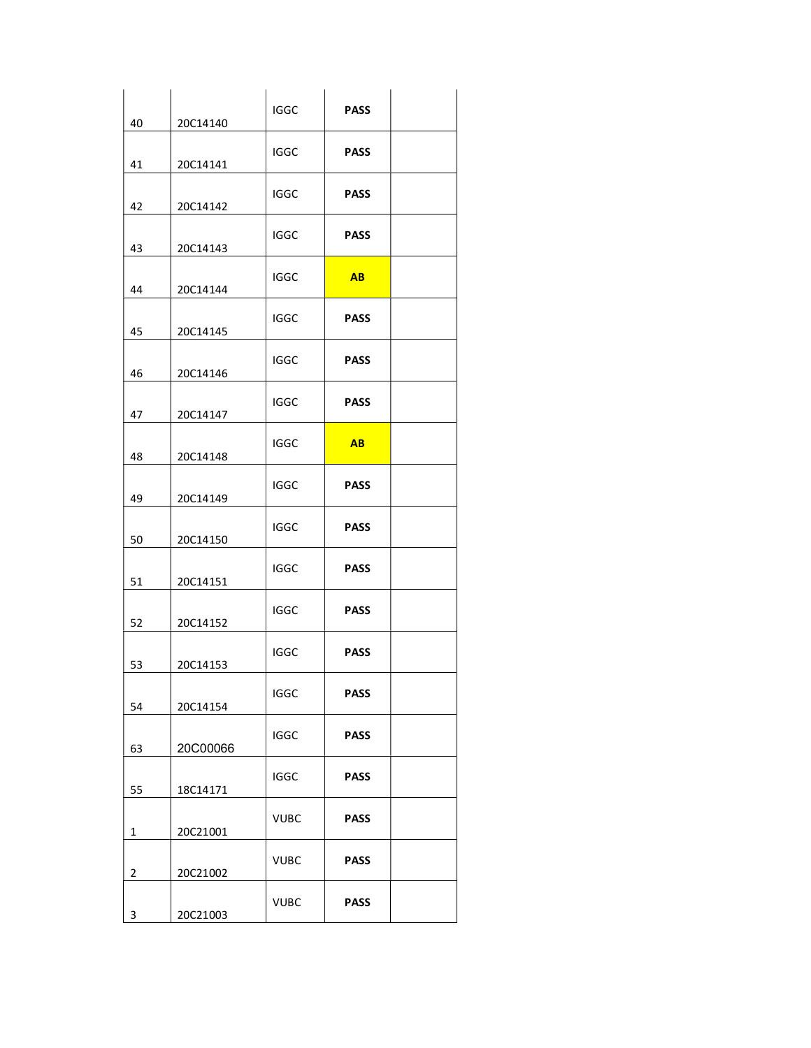| 40 | 20C14140 | <b>IGGC</b> | <b>PASS</b>    |  |
|----|----------|-------------|----------------|--|
| 41 | 20C14141 | IGGC        | <b>PASS</b>    |  |
| 42 | 20C14142 | IGGC        | <b>PASS</b>    |  |
| 43 | 20C14143 | IGGC        | <b>PASS</b>    |  |
| 44 | 20C14144 | <b>IGGC</b> | AB             |  |
| 45 | 20C14145 | <b>IGGC</b> | <b>PASS</b>    |  |
| 46 | 20C14146 | IGGC        | <b>PASS</b>    |  |
| 47 | 20C14147 | <b>IGGC</b> | <b>PASS</b>    |  |
| 48 | 20C14148 | <b>IGGC</b> | A <sub>B</sub> |  |
| 49 | 20C14149 | IGGC        | <b>PASS</b>    |  |
| 50 | 20C14150 | <b>IGGC</b> | <b>PASS</b>    |  |
| 51 | 20C14151 | <b>IGGC</b> | <b>PASS</b>    |  |
| 52 | 20C14152 | <b>IGGC</b> | <b>PASS</b>    |  |
| 53 | 20C14153 | <b>IGGC</b> | <b>PASS</b>    |  |
| 54 | 20C14154 | <b>IGGC</b> | <b>PASS</b>    |  |
| 63 | 20C00066 | <b>IGGC</b> | <b>PASS</b>    |  |
| 55 | 18C14171 | <b>IGGC</b> | <b>PASS</b>    |  |
| 1  | 20C21001 | <b>VUBC</b> | <b>PASS</b>    |  |
| 2  | 20C21002 | <b>VUBC</b> | <b>PASS</b>    |  |
| 3  | 20C21003 | <b>VUBC</b> | <b>PASS</b>    |  |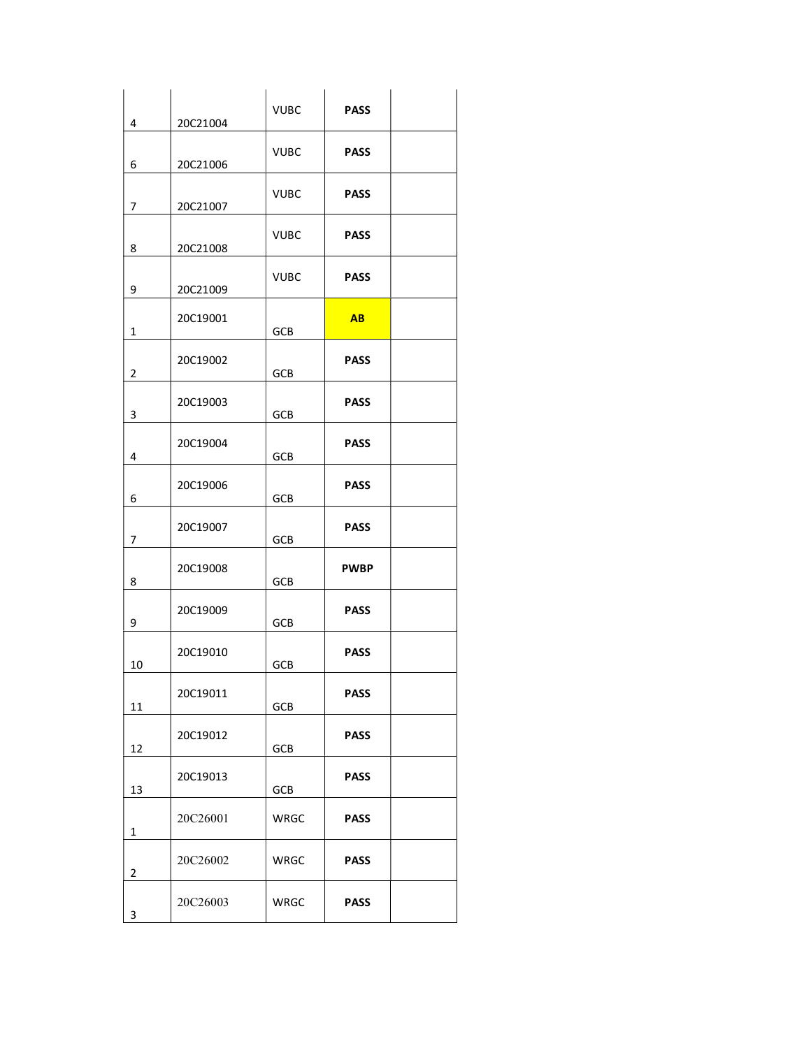| 4              | 20C21004 | <b>VUBC</b> | <b>PASS</b> |  |
|----------------|----------|-------------|-------------|--|
| 6              | 20C21006 | <b>VUBC</b> | <b>PASS</b> |  |
| 7              | 20C21007 | <b>VUBC</b> | <b>PASS</b> |  |
| 8              | 20C21008 | <b>VUBC</b> | <b>PASS</b> |  |
| 9              | 20C21009 | VUBC        | <b>PASS</b> |  |
| 1              | 20C19001 | <b>GCB</b>  | AB          |  |
| 2              | 20C19002 | <b>GCB</b>  | <b>PASS</b> |  |
| 3              | 20C19003 | <b>GCB</b>  | <b>PASS</b> |  |
| 4              | 20C19004 | <b>GCB</b>  | <b>PASS</b> |  |
| 6              | 20C19006 | <b>GCB</b>  | <b>PASS</b> |  |
| 7              | 20C19007 | <b>GCB</b>  | <b>PASS</b> |  |
| 8              | 20C19008 | GCB         | <b>PWBP</b> |  |
| 9              | 20C19009 | <b>GCB</b>  | <b>PASS</b> |  |
| 10             | 20C19010 | <b>GCB</b>  | <b>PASS</b> |  |
| 11             | 20C19011 | GCB         | <b>PASS</b> |  |
| 12             | 20C19012 | <b>GCB</b>  | <b>PASS</b> |  |
| 13             | 20C19013 | GCB         | <b>PASS</b> |  |
| 1              | 20C26001 | <b>WRGC</b> | <b>PASS</b> |  |
| $\overline{2}$ | 20C26002 | WRGC        | <b>PASS</b> |  |
| 3              | 20C26003 | WRGC        | <b>PASS</b> |  |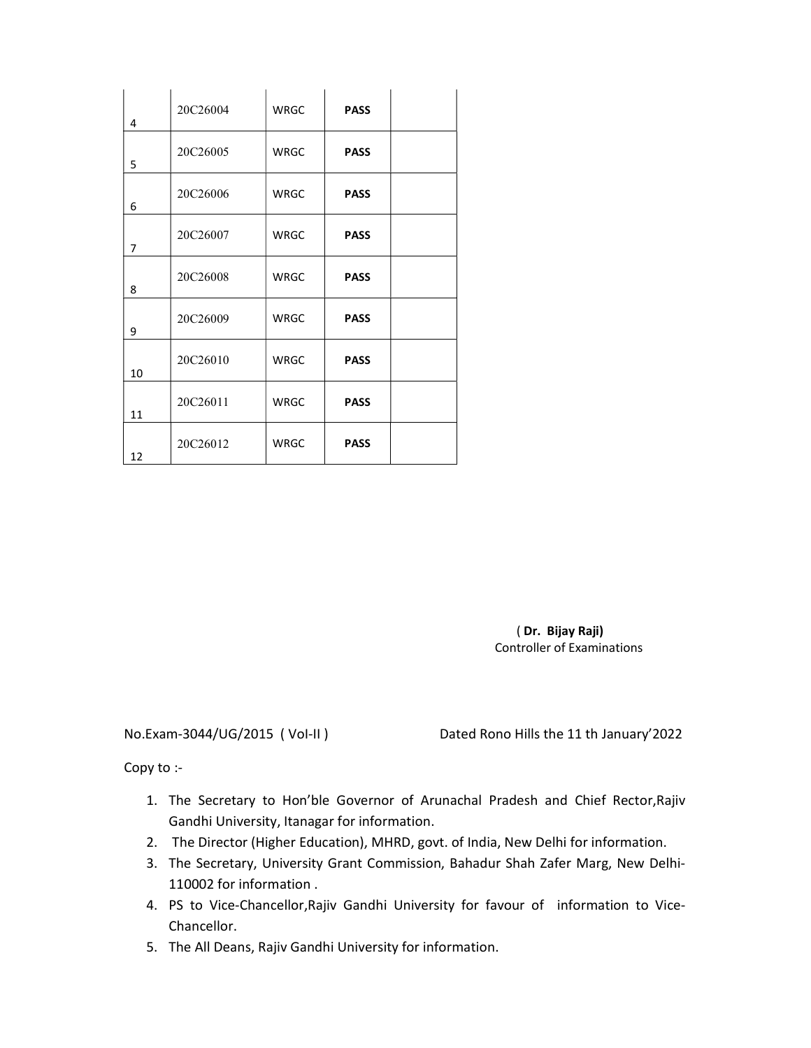| 4              | 20C26004 | <b>WRGC</b> | <b>PASS</b> |  |
|----------------|----------|-------------|-------------|--|
| 5              | 20C26005 | <b>WRGC</b> | <b>PASS</b> |  |
| 6              | 20C26006 | <b>WRGC</b> | <b>PASS</b> |  |
| $\overline{7}$ | 20C26007 | <b>WRGC</b> | <b>PASS</b> |  |
| 8              | 20C26008 | <b>WRGC</b> | <b>PASS</b> |  |
| 9              | 20C26009 | <b>WRGC</b> | <b>PASS</b> |  |
| 10             | 20C26010 | <b>WRGC</b> | <b>PASS</b> |  |
| 11             | 20C26011 | <b>WRGC</b> | <b>PASS</b> |  |
| 12             | 20C26012 | <b>WRGC</b> | <b>PASS</b> |  |

# ( Dr. Bijay Raji) Controller of Examinations

No.Exam-3044/UG/2015 ( VoI-II ) Dated Rono Hills the 11 th January'2022

Copy to :-

- 1. The Secretary to Hon'ble Governor of Arunachal Pradesh and Chief Rector,Rajiv Gandhi University, Itanagar for information.
- 2. The Director (Higher Education), MHRD, govt. of India, New Delhi for information.
- 3. The Secretary, University Grant Commission, Bahadur Shah Zafer Marg, New Delhi-110002 for information .
- 4. PS to Vice-Chancellor,Rajiv Gandhi University for favour of information to Vice-Chancellor.
- 5. The All Deans, Rajiv Gandhi University for information.